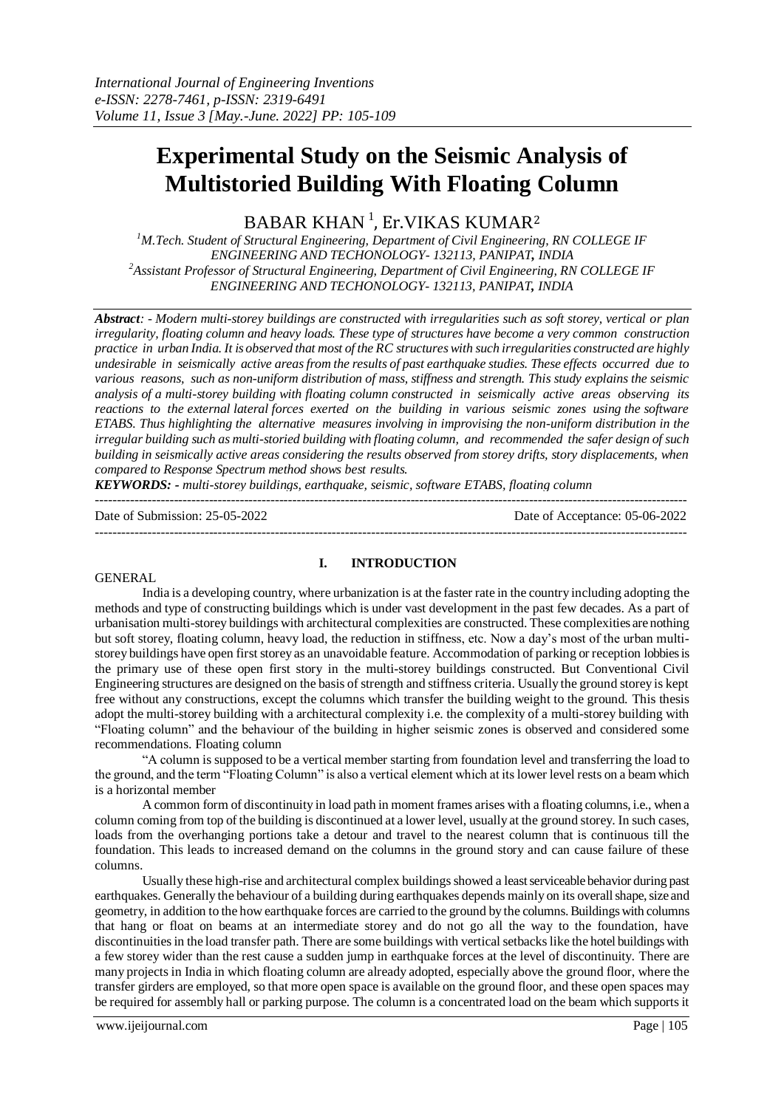# **Experimental Study on the Seismic Analysis of Multistoried Building With Floating Column**

BABAR KHAN  $^1$ , Er.VIKAS KUMAR $^2$ 

*<sup>1</sup>M.Tech. Student of Structural Engineering, Department of Civil Engineering, RN COLLEGE IF ENGINEERING AND TECHONOLOGY- 132113, PANIPAT, INDIA <sup>2</sup>Assistant Professor of Structural Engineering, Department of Civil Engineering, RN COLLEGE IF ENGINEERING AND TECHONOLOGY- 132113, PANIPAT, INDIA*

*Abstract: - Modern multi-storey buildings are constructed with irregularities such as soft storey, vertical or plan irregularity, floating column and heavy loads. These type of structures have become a very common construction practice in urban India. It is observed that most of the RC structures with such irregularities constructed are highly undesirable in seismically active areas from the results of past earthquake studies. These effects occurred due to various reasons, such as non-uniform distribution of mass, stiffness and strength. This study explains the seismic analysis of a multi-storey building with floating column constructed in seismically active areas observing its reactions to the external lateral forces exerted on the building in various seismic zones using the software ETABS. Thus highlighting the alternative measures involving in improvising the non-uniform distribution in the irregular building such as multi-storied building with floating column, and recommended the safer design of such building in seismically active areas considering the results observed from storey drifts, story displacements, when compared to Response Spectrum method shows best results.*

*KEYWORDS: - multi-storey buildings, earthquake, seismic, software ETABS, floating column*

Date of Submission: 25-05-2022 Date of Acceptance: 05-06-2022

---------------------------------------------------------------------------------------------------------------------------------------

#### **GENERAL**

#### **I. INTRODUCTION**

---------------------------------------------------------------------------------------------------------------------------------------

India is a developing country, where urbanization is at the faster rate in the country including adopting the methods and type of constructing buildings which is under vast development in the past few decades. As a part of urbanisation multi-storey buildings with architectural complexities are constructed. These complexities are nothing but soft storey, floating column, heavy load, the reduction in stiffness, etc. Now a day's most of the urban multistorey buildings have open first storey as an unavoidable feature. Accommodation of parking or reception lobbies is the primary use of these open first story in the multi-storey buildings constructed. But Conventional Civil Engineering structures are designed on the basis of strength and stiffness criteria. Usually the ground storey is kept free without any constructions, except the columns which transfer the building weight to the ground. This thesis adopt the multi-storey building with a architectural complexity i.e. the complexity of a multi-storey building with "Floating column" and the behaviour of the building in higher seismic zones is observed and considered some recommendations. Floating column

"A column is supposed to be a vertical member starting from foundation level and transferring the load to the ground, and the term "Floating Column" is also a vertical element which at its lower level rests on a beam which is a horizontal member

A common form of discontinuity in load path in moment frames arises with a floating columns, i.e., when a column coming from top of the building is discontinued at a lower level, usually at the ground storey. In such cases, loads from the overhanging portions take a detour and travel to the nearest column that is continuous till the foundation. This leads to increased demand on the columns in the ground story and can cause failure of these columns.

Usually these high-rise and architectural complex buildings showed a least serviceable behavior during past earthquakes. Generally the behaviour of a building during earthquakes depends mainly on its overall shape, size and geometry, in addition to the how earthquake forces are carried to the ground by the columns. Buildings with columns that hang or float on beams at an intermediate storey and do not go all the way to the foundation, have discontinuities in the load transfer path. There are some buildings with vertical setbacks like the hotel buildings with a few storey wider than the rest cause a sudden jump in earthquake forces at the level of discontinuity. There are many projects in India in which floating column are already adopted, especially above the ground floor, where the transfer girders are employed, so that more open space is available on the ground floor, and these open spaces may be required for assembly hall or parking purpose. The column is a concentrated load on the beam which supports it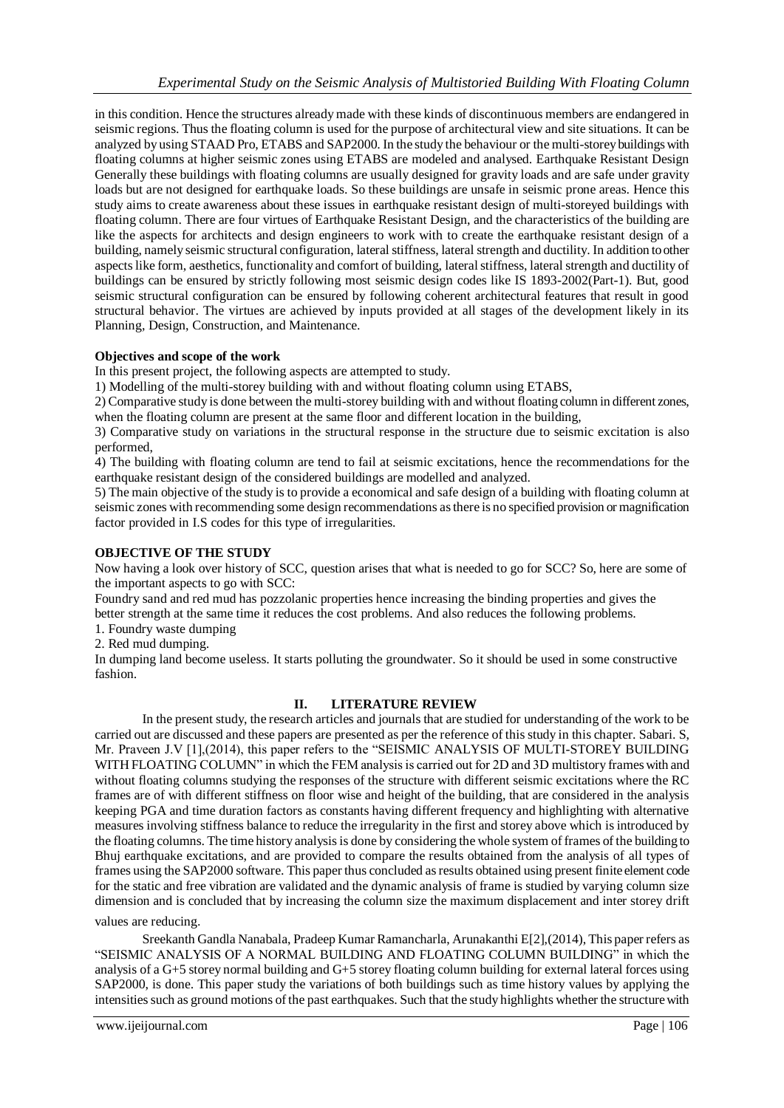in this condition. Hence the structures already made with these kinds of discontinuous members are endangered in seismic regions. Thus the floating column is used for the purpose of architectural view and site situations. It can be analyzed by using STAAD Pro, ETABS and SAP2000. In the study the behaviour or the multi-storey buildings with floating columns at higher seismic zones using ETABS are modeled and analysed. Earthquake Resistant Design Generally these buildings with floating columns are usually designed for gravity loads and are safe under gravity loads but are not designed for earthquake loads. So these buildings are unsafe in seismic prone areas. Hence this study aims to create awareness about these issues in earthquake resistant design of multi-storeyed buildings with floating column. There are four virtues of Earthquake Resistant Design, and the characteristics of the building are like the aspects for architects and design engineers to work with to create the earthquake resistant design of a building, namely seismic structural configuration, lateral stiffness, lateral strength and ductility. In addition to other aspects like form, aesthetics, functionality and comfort of building, lateral stiffness, lateral strength and ductility of buildings can be ensured by strictly following most seismic design codes like IS 1893-2002(Part-1). But, good seismic structural configuration can be ensured by following coherent architectural features that result in good structural behavior. The virtues are achieved by inputs provided at all stages of the development likely in its Planning, Design, Construction, and Maintenance.

## **Objectives and scope of the work**

In this present project, the following aspects are attempted to study.

1) Modelling of the multi-storey building with and without floating column using ETABS,

2) Comparative study is done between the multi-storey building with and without floating column in different zones, when the floating column are present at the same floor and different location in the building,

3) Comparative study on variations in the structural response in the structure due to seismic excitation is also performed,

4) The building with floating column are tend to fail at seismic excitations, hence the recommendations for the earthquake resistant design of the considered buildings are modelled and analyzed.

5) The main objective of the study is to provide a economical and safe design of a building with floating column at seismic zones with recommending some design recommendations as there is no specified provision or magnification factor provided in I.S codes for this type of irregularities.

#### **OBJECTIVE OF THE STUDY**

Now having a look over history of SCC, question arises that what is needed to go for SCC? So, here are some of the important aspects to go with SCC:

Foundry sand and red mud has pozzolanic properties hence increasing the binding properties and gives the better strength at the same time it reduces the cost problems. And also reduces the following problems.

1. Foundry waste dumping

2. Red mud dumping.

In dumping land become useless. It starts polluting the groundwater. So it should be used in some constructive fashion.

## **II. LITERATURE REVIEW**

In the present study, the research articles and journals that are studied for understanding of the work to be carried out are discussed and these papers are presented as per the reference of this study in this chapter. Sabari. S, Mr. Praveen J.V [1],(2014), this paper refers to the "SEISMIC ANALYSIS OF MULTI-STOREY BUILDING WITH FLOATING COLUMN" in which the FEM analysis is carried out for 2D and 3D multistory frames with and without floating columns studying the responses of the structure with different seismic excitations where the RC frames are of with different stiffness on floor wise and height of the building, that are considered in the analysis keeping PGA and time duration factors as constants having different frequency and highlighting with alternative measures involving stiffness balance to reduce the irregularity in the first and storey above which is introduced by the floating columns. The time history analysis is done by considering the whole system of frames of the building to Bhuj earthquake excitations, and are provided to compare the results obtained from the analysis of all types of frames using the SAP2000 software. This paper thus concluded as results obtained using present finite element code for the static and free vibration are validated and the dynamic analysis of frame is studied by varying column size dimension and is concluded that by increasing the column size the maximum displacement and inter storey drift

## values are reducing.

Sreekanth Gandla Nanabala, Pradeep Kumar Ramancharla, Arunakanthi E[2],(2014), This paper refers as "SEISMIC ANALYSIS OF A NORMAL BUILDING AND FLOATING COLUMN BUILDING" in which the analysis of a G+5 storey normal building and G+5 storey floating column building for external lateral forces using SAP2000, is done. This paper study the variations of both buildings such as time history values by applying the intensities such as ground motions of the past earthquakes. Such that the study highlights whether the structure with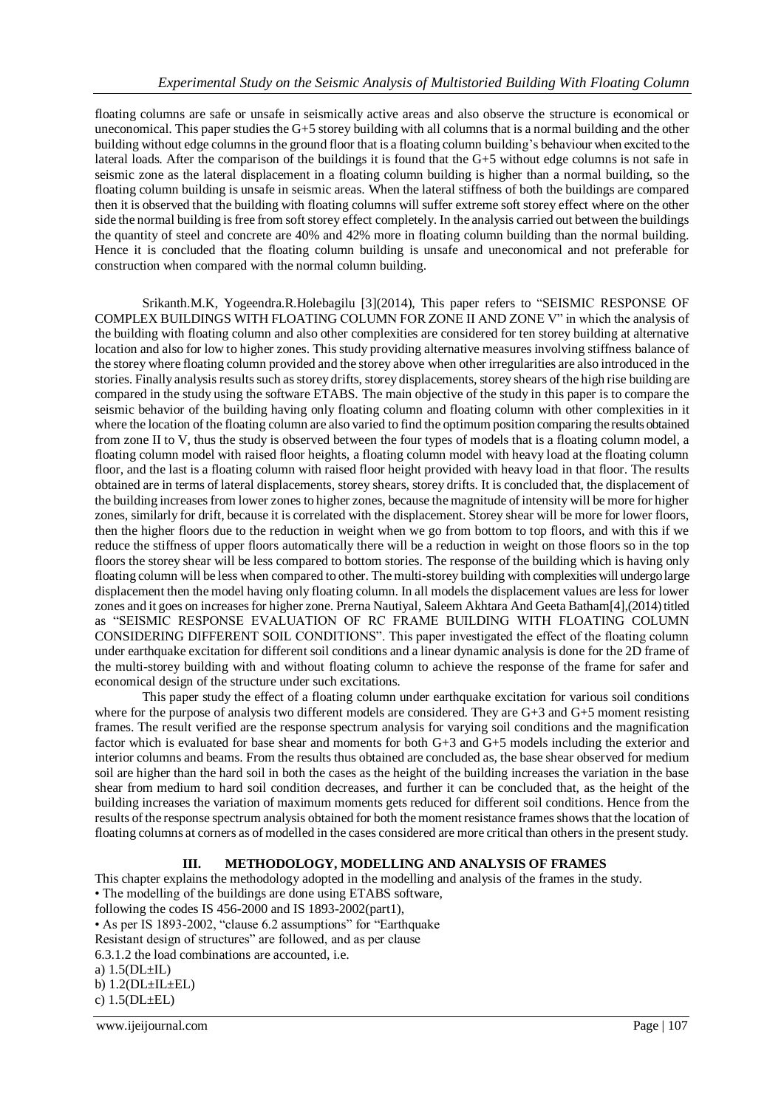floating columns are safe or unsafe in seismically active areas and also observe the structure is economical or uneconomical. This paper studies the G+5 storey building with all columns that is a normal building and the other building without edge columns in the ground floor that is a floating column building's behaviour when excited to the lateral loads. After the comparison of the buildings it is found that the G+5 without edge columns is not safe in seismic zone as the lateral displacement in a floating column building is higher than a normal building, so the floating column building is unsafe in seismic areas. When the lateral stiffness of both the buildings are compared then it is observed that the building with floating columns will suffer extreme soft storey effect where on the other side the normal building is free from soft storey effect completely. In the analysis carried out between the buildings the quantity of steel and concrete are 40% and 42% more in floating column building than the normal building. Hence it is concluded that the floating column building is unsafe and uneconomical and not preferable for construction when compared with the normal column building.

Srikanth.M.K, Yogeendra.R.Holebagilu [3](2014), This paper refers to "SEISMIC RESPONSE OF COMPLEX BUILDINGS WITH FLOATING COLUMN FOR ZONE II AND ZONE V" in which the analysis of the building with floating column and also other complexities are considered for ten storey building at alternative location and also for low to higher zones. This study providing alternative measures involving stiffness balance of the storey where floating column provided and the storey above when other irregularities are also introduced in the stories. Finally analysis results such as storey drifts, storey displacements, storey shears of the high rise building are compared in the study using the software ETABS. The main objective of the study in this paper is to compare the seismic behavior of the building having only floating column and floating column with other complexities in it where the location of the floating column are also varied to find the optimum position comparing the results obtained from zone II to V, thus the study is observed between the four types of models that is a floating column model, a floating column model with raised floor heights, a floating column model with heavy load at the floating column floor, and the last is a floating column with raised floor height provided with heavy load in that floor. The results obtained are in terms of lateral displacements, storey shears, storey drifts. It is concluded that, the displacement of the building increases from lower zones to higher zones, because the magnitude of intensity will be more for higher zones, similarly for drift, because it is correlated with the displacement. Storey shear will be more for lower floors, then the higher floors due to the reduction in weight when we go from bottom to top floors, and with this if we reduce the stiffness of upper floors automatically there will be a reduction in weight on those floors so in the top floors the storey shear will be less compared to bottom stories. The response of the building which is having only floating column will be less when compared to other. The multi-storey building with complexities will undergo large displacement then the model having only floating column. In all models the displacement values are less for lower zones and it goes on increasesfor higher zone. Prerna Nautiyal, Saleem Akhtara And Geeta Batham[4],(2014) titled as "SEISMIC RESPONSE EVALUATION OF RC FRAME BUILDING WITH FLOATING COLUMN CONSIDERING DIFFERENT SOIL CONDITIONS". This paper investigated the effect of the floating column under earthquake excitation for different soil conditions and a linear dynamic analysis is done for the 2D frame of the multi-storey building with and without floating column to achieve the response of the frame for safer and economical design of the structure under such excitations.

This paper study the effect of a floating column under earthquake excitation for various soil conditions where for the purpose of analysis two different models are considered. They are G+3 and G+5 moment resisting frames. The result verified are the response spectrum analysis for varying soil conditions and the magnification factor which is evaluated for base shear and moments for both G+3 and G+5 models including the exterior and interior columns and beams. From the results thus obtained are concluded as, the base shear observed for medium soil are higher than the hard soil in both the cases as the height of the building increases the variation in the base shear from medium to hard soil condition decreases, and further it can be concluded that, as the height of the building increases the variation of maximum moments gets reduced for different soil conditions. Hence from the results of the response spectrum analysis obtained for both the moment resistance frames shows that the location of floating columns at corners as of modelled in the cases considered are more critical than others in the present study.

## **III. METHODOLOGY, MODELLING AND ANALYSIS OF FRAMES**

This chapter explains the methodology adopted in the modelling and analysis of the frames in the study. • The modelling of the buildings are done using ETABS software, following the codes IS 456-2000 and IS 1893-2002(part1), • As per IS 1893-2002, "clause 6.2 assumptions" for "Earthquake Resistant design of structures" are followed, and as per clause 6.3.1.2 the load combinations are accounted, i.e. a) 1.5(DL±IL) b)  $1.2(DL \pm IL \pm EL)$ c) 1.5(DL±EL)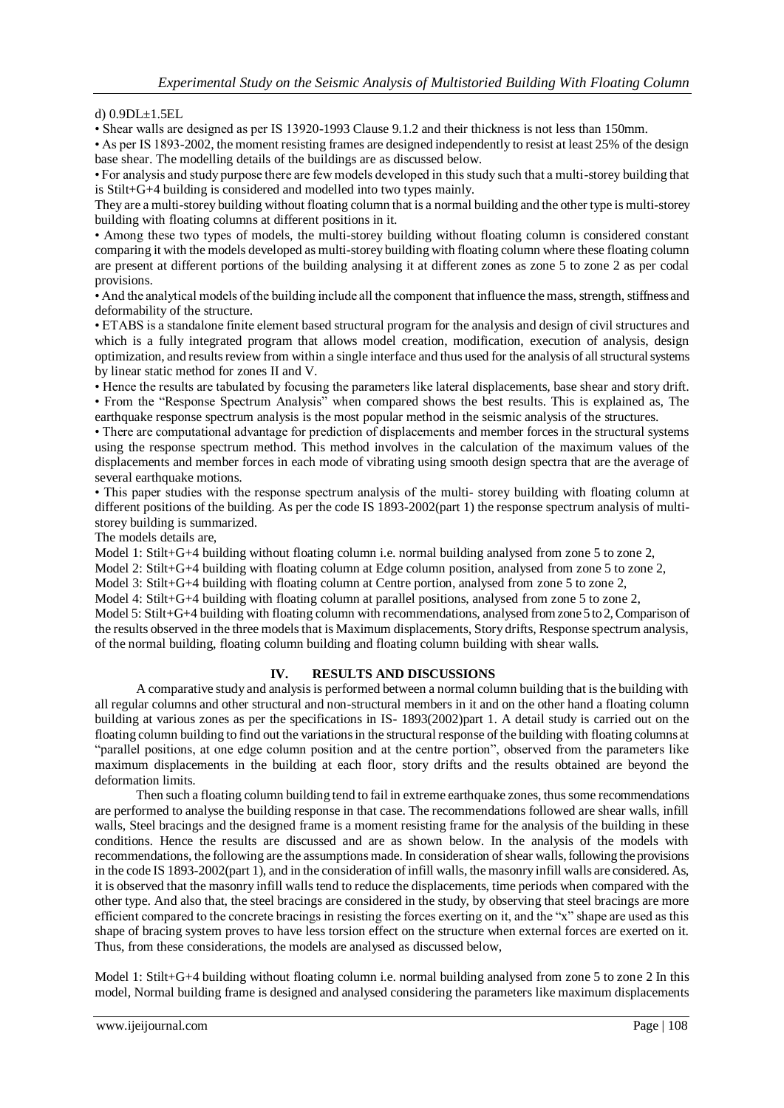d) 0.9DL±1.5EL

• Shear walls are designed as per IS 13920-1993 Clause 9.1.2 and their thickness is not less than 150mm.

• As per IS 1893-2002, the moment resisting frames are designed independently to resist at least 25% of the design base shear. The modelling details of the buildings are as discussed below.

• For analysis and study purpose there are few models developed in this study such that a multi-storey building that is Stilt+G+4 building is considered and modelled into two types mainly.

They are a multi-storey building without floating column that is a normal building and the other type is multi-storey building with floating columns at different positions in it.

• Among these two types of models, the multi-storey building without floating column is considered constant comparing it with the models developed as multi-storey building with floating column where these floating column are present at different portions of the building analysing it at different zones as zone 5 to zone 2 as per codal provisions.

• And the analytical models of the building include all the component that influence the mass, strength, stiffness and deformability of the structure.

• ETABS is a standalone finite element based structural program for the analysis and design of civil structures and which is a fully integrated program that allows model creation, modification, execution of analysis, design optimization, and results review from within a single interface and thus used for the analysis of allstructural systems by linear static method for zones II and V.

• Hence the results are tabulated by focusing the parameters like lateral displacements, base shear and story drift. • From the "Response Spectrum Analysis" when compared shows the best results. This is explained as, The earthquake response spectrum analysis is the most popular method in the seismic analysis of the structures.

• There are computational advantage for prediction of displacements and member forces in the structural systems using the response spectrum method. This method involves in the calculation of the maximum values of the displacements and member forces in each mode of vibrating using smooth design spectra that are the average of several earthquake motions.

• This paper studies with the response spectrum analysis of the multi- storey building with floating column at different positions of the building. As per the code IS 1893-2002(part 1) the response spectrum analysis of multistorey building is summarized.

The models details are,

Model 1: Stilt+G+4 building without floating column i.e. normal building analysed from zone 5 to zone 2,

Model 2: Stilt+G+4 building with floating column at Edge column position, analysed from zone 5 to zone 2,

Model 3: Stilt+G+4 building with floating column at Centre portion, analysed from zone 5 to zone 2,

Model 4: Stilt+G+4 building with floating column at parallel positions, analysed from zone 5 to zone 2,

Model 5: Stilt+G+4 building with floating column with recommendations, analysed from zone 5 to 2, Comparison of the results observed in the three models that is Maximum displacements, Story drifts, Response spectrum analysis, of the normal building, floating column building and floating column building with shear walls.

## **IV. RESULTS AND DISCUSSIONS**

A comparative study and analysis is performed between a normal column building that is the building with all regular columns and other structural and non-structural members in it and on the other hand a floating column building at various zones as per the specifications in IS- 1893(2002)part 1. A detail study is carried out on the floating column building to find out the variations in the structural response of the building with floating columns at "parallel positions, at one edge column position and at the centre portion", observed from the parameters like maximum displacements in the building at each floor, story drifts and the results obtained are beyond the deformation limits.

Then such a floating column building tend to fail in extreme earthquake zones, thus some recommendations are performed to analyse the building response in that case. The recommendations followed are shear walls, infill walls, Steel bracings and the designed frame is a moment resisting frame for the analysis of the building in these conditions. Hence the results are discussed and are as shown below. In the analysis of the models with recommendations, the following are the assumptions made. In consideration of shear walls, following the provisions in the code IS 1893-2002(part 1), and in the consideration of infill walls, the masonry infill walls are considered. As, it is observed that the masonry infill walls tend to reduce the displacements, time periods when compared with the other type. And also that, the steel bracings are considered in the study, by observing that steel bracings are more efficient compared to the concrete bracings in resisting the forces exerting on it, and the "x" shape are used as this shape of bracing system proves to have less torsion effect on the structure when external forces are exerted on it. Thus, from these considerations, the models are analysed as discussed below,

Model 1: Stilt+G+4 building without floating column i.e. normal building analysed from zone 5 to zone 2 In this model, Normal building frame is designed and analysed considering the parameters like maximum displacements